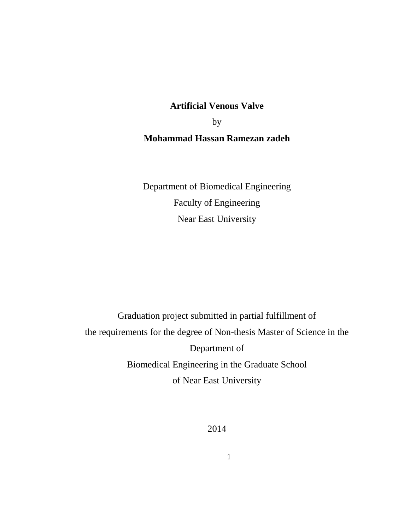# **Artificial Venous Valve**

by

# **Mohammad Hassan Ramezan zadeh**

Department of Biomedical Engineering Faculty of Engineering Near East University

Graduation project submitted in partial fulfillment of the requirements for the degree of Non-thesis Master of Science in the Department of Biomedical Engineering in the Graduate School of Near East University

2014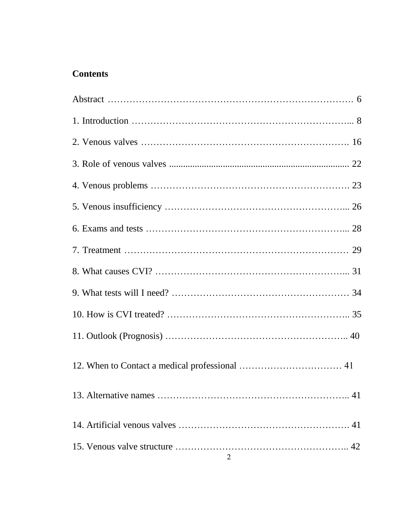# **Contents**

| $\overline{2}$ |  |
|----------------|--|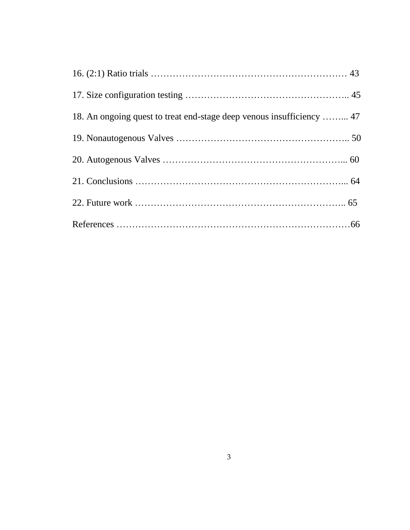| 18. An ongoing quest to treat end-stage deep venous insufficiency  47 |  |
|-----------------------------------------------------------------------|--|
|                                                                       |  |
|                                                                       |  |
|                                                                       |  |
|                                                                       |  |
|                                                                       |  |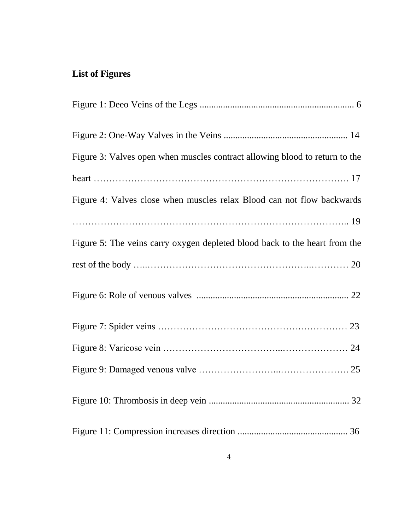# **List of Figures**

| Figure 3: Valves open when muscles contract allowing blood to return to the |
|-----------------------------------------------------------------------------|
|                                                                             |
| Figure 4: Valves close when muscles relax Blood can not flow backwards      |
|                                                                             |
| Figure 5: The veins carry oxygen depleted blood back to the heart from the  |
|                                                                             |
|                                                                             |
|                                                                             |
|                                                                             |
|                                                                             |
|                                                                             |
|                                                                             |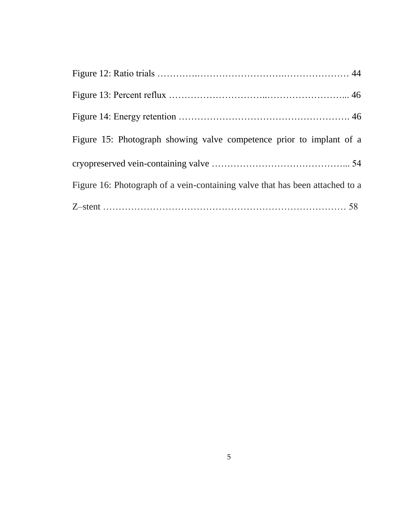| Figure 15: Photograph showing valve competence prior to implant of a         |
|------------------------------------------------------------------------------|
|                                                                              |
| Figure 16: Photograph of a vein-containing valve that has been attached to a |
|                                                                              |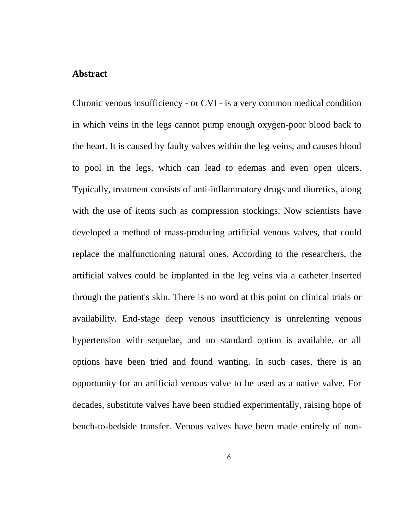## **Abstract**

Chronic venous insufficiency - or CVI - is a very common medical condition in which veins in the legs cannot pump enough oxygen-poor blood back to the heart. It is caused by faulty valves within the leg veins, and causes blood to pool in the legs, which can lead to edemas and even open ulcers. Typically, treatment consists of anti-inflammatory drugs and diuretics, along with the use of items such as compression stockings. Now scientists have developed a method of mass-producing artificial venous valves, that could replace the malfunctioning natural ones. According to the researchers, the artificial valves could be implanted in the leg veins via a catheter inserted through the patient's skin. There is no word at this point on clinical trials or availability. End-stage deep venous insufficiency is unrelenting venous hypertension with sequelae, and no standard option is available, or all options have been tried and found wanting. In such cases, there is an opportunity for an artificial venous valve to be used as a native valve. For decades, substitute valves have been studied experimentally, raising hope of bench-to-bedside transfer. Venous valves have been made entirely of non-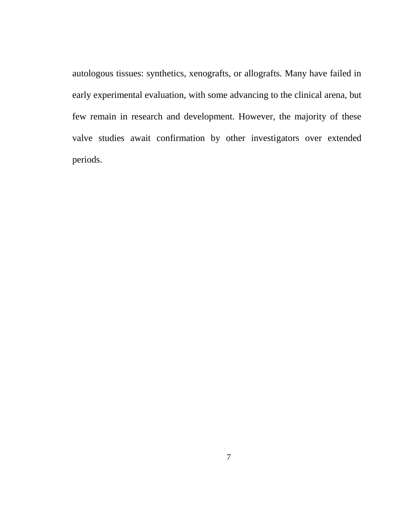autologous tissues: synthetics, xenografts, or allografts. Many have failed in early experimental evaluation, with some advancing to the clinical arena, but few remain in research and development. However, the majority of these valve studies await confirmation by other investigators over extended periods.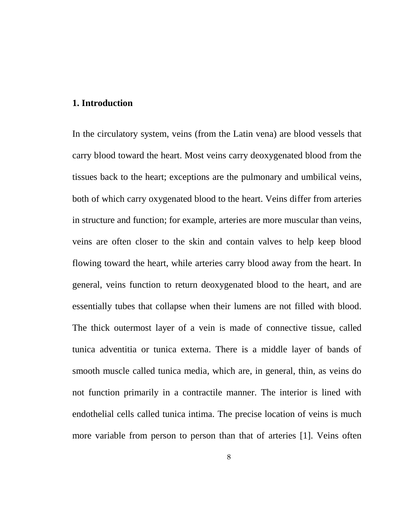#### **1. Introduction**

In the circulatory system, veins (from the Latin vena) are blood vessels that carry blood toward the heart. Most veins carry deoxygenated blood from the tissues back to the heart; exceptions are the pulmonary and umbilical veins, both of which carry oxygenated blood to the heart. Veins differ from arteries in structure and function; for example, arteries are more muscular than veins, veins are often closer to the skin and contain valves to help keep blood flowing toward the heart, while arteries carry blood away from the heart. In general, veins function to return deoxygenated blood to the heart, and are essentially tubes that collapse when their lumens are not filled with blood. The thick outermost layer of a vein is made of connective tissue, called tunica adventitia or tunica externa. There is a middle layer of bands of smooth muscle called tunica media, which are, in general, thin, as veins do not function primarily in a contractile manner. The interior is lined with endothelial cells called tunica intima. The precise location of veins is much more variable from person to person than that of arteries [1]. Veins often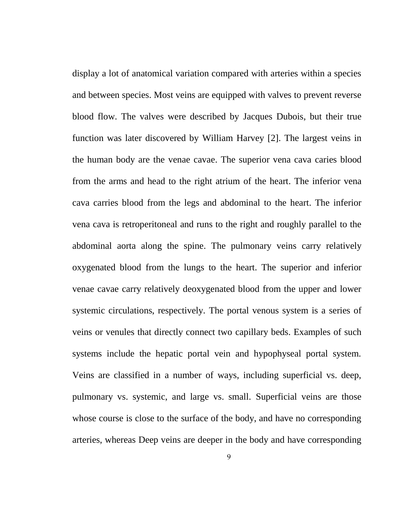display a lot of anatomical variation compared with arteries within a species and between species. Most veins are equipped with valves to prevent reverse blood flow. The valves were described by Jacques Dubois, but their true function was later discovered by William Harvey [2]. The largest veins in the human body are the venae cavae. The superior vena cava caries blood from the arms and head to the right atrium of the heart. The inferior vena cava carries blood from the legs and abdominal to the heart. The inferior vena cava is retroperitoneal and runs to the right and roughly parallel to the abdominal aorta along the spine. The pulmonary veins carry relatively oxygenated blood from the lungs to the heart. The superior and inferior venae cavae carry relatively deoxygenated blood from the upper and lower systemic circulations, respectively. The portal venous system is a series of veins or venules that directly connect two capillary beds. Examples of such systems include the hepatic portal vein and hypophyseal portal system. Veins are classified in a number of ways, including superficial vs. deep, pulmonary vs. systemic, and large vs. small. Superficial veins are those whose course is close to the surface of the body, and have no corresponding arteries, whereas Deep veins are deeper in the body and have corresponding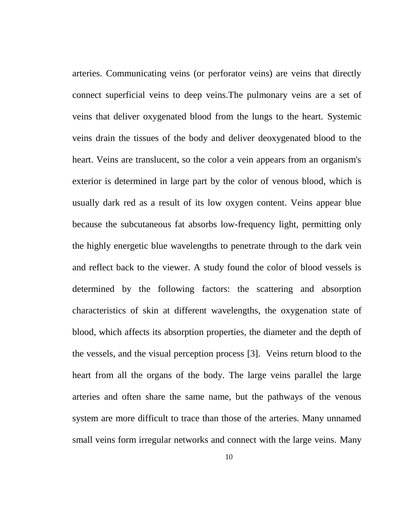arteries. Communicating veins (or perforator veins) are veins that directly connect superficial veins to deep veins.The pulmonary veins are a set of veins that deliver oxygenated blood from the lungs to the heart. Systemic veins drain the tissues of the body and deliver deoxygenated blood to the heart. Veins are translucent, so the color a vein appears from an organism's exterior is determined in large part by the color of venous blood, which is usually dark red as a result of its low oxygen content. Veins appear blue because the subcutaneous fat absorbs low-frequency light, permitting only the highly energetic blue wavelengths to penetrate through to the dark vein and reflect back to the viewer. A study found the color of blood vessels is determined by the following factors: the scattering and absorption characteristics of skin at different wavelengths, the oxygenation state of blood, which affects its absorption properties, the diameter and the depth of the vessels, and the visual perception process [3]. Veins return blood to the heart from all the organs of the body. The large veins parallel the large arteries and often share the same name, but the pathways of the venous system are more difficult to trace than those of the arteries. Many unnamed small veins form irregular networks and connect with the large veins. Many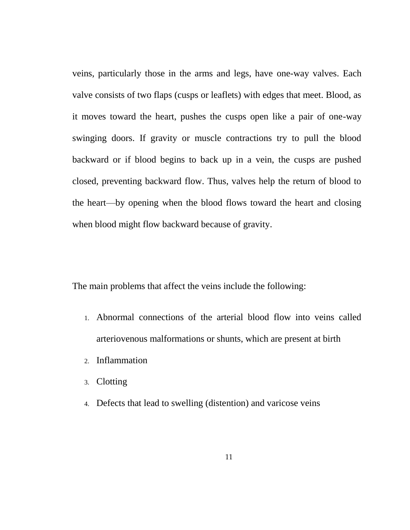veins, particularly those in the arms and legs, have one-way valves. Each valve consists of two flaps (cusps or leaflets) with edges that meet. Blood, as it moves toward the heart, pushes the cusps open like a pair of one-way swinging doors. If gravity or muscle contractions try to pull the blood backward or if blood begins to back up in a vein, the cusps are pushed closed, preventing backward flow. Thus, valves help the return of blood to the heart—by opening when the blood flows toward the heart and closing when blood might flow backward because of gravity.

The main problems that affect the veins include the following:

- 1. Abnormal connections of the arterial blood flow into veins called arteriovenous malformations or shunts, which are present at birth
- 2. Inflammation
- 3. Clotting
- 4. Defects that lead to swelling (distention) and varicose veins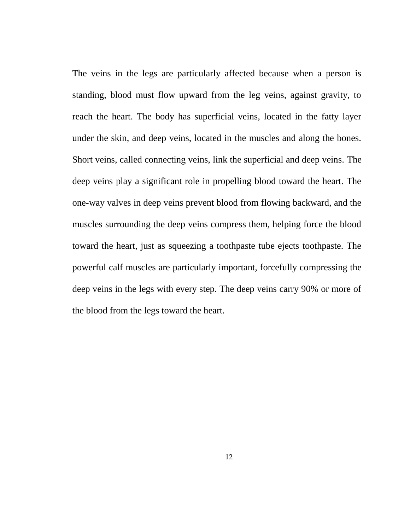The veins in the legs are particularly affected because when a person is standing, blood must flow upward from the leg veins, against gravity, to reach the heart. The body has superficial veins, located in the fatty layer under the skin, and deep veins, located in the muscles and along the bones. Short veins, called connecting veins, link the superficial and deep veins. The deep veins play a significant role in propelling blood toward the heart. The one-way valves in deep veins prevent blood from flowing backward, and the muscles surrounding the deep veins compress them, helping force the blood toward the heart, just as squeezing a toothpaste tube ejects toothpaste. The powerful calf muscles are particularly important, forcefully compressing the deep veins in the legs with every step. The deep veins carry 90% or more of the blood from the legs toward the heart.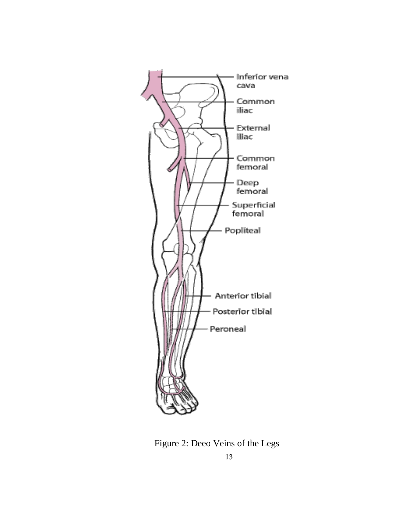

Figure 2: Deeo Veins of the Legs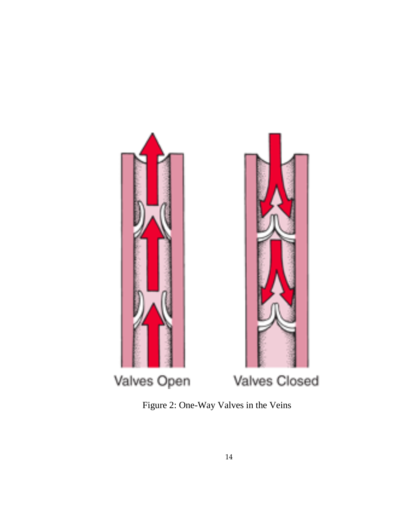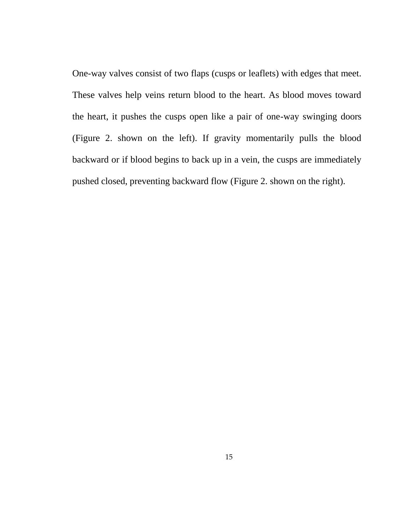One-way valves consist of two flaps (cusps or leaflets) with edges that meet. These valves help veins return blood to the heart. As blood moves toward the heart, it pushes the cusps open like a pair of one-way swinging doors (Figure 2. shown on the left). If gravity momentarily pulls the blood backward or if blood begins to back up in a vein, the cusps are immediately pushed closed, preventing backward flow (Figure 2. shown on the right).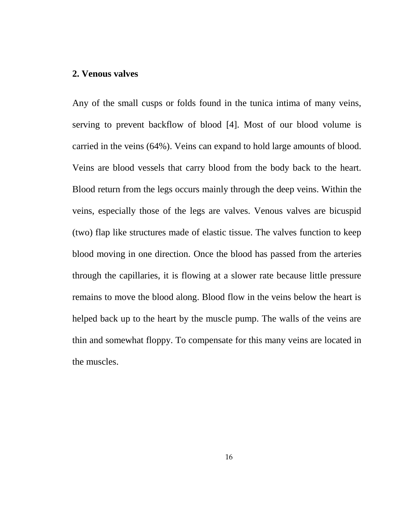#### **2. Venous valves**

Any of the small cusps or folds found in the tunica intima of many veins, serving to prevent backflow of blood [4]. Most of our blood volume is carried in the veins (64%). Veins can expand to hold large amounts of blood. Veins are blood vessels that carry blood from the body back to the heart. Blood return from the legs occurs mainly through the deep veins. Within the veins, especially those of the legs are valves. Venous valves are bicuspid (two) flap like structures made of elastic tissue. The valves function to keep blood moving in one direction. Once the blood has passed from the arteries through the capillaries, it is flowing at a slower rate because little pressure remains to move the blood along. Blood flow in the veins below the heart is helped back up to the heart by the muscle pump. The walls of the veins are thin and somewhat floppy. To compensate for this many veins are located in the muscles.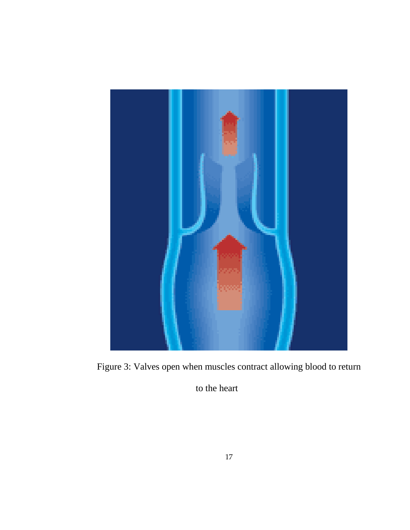

Figure 3: Valves open when muscles contract allowing blood to return

to the heart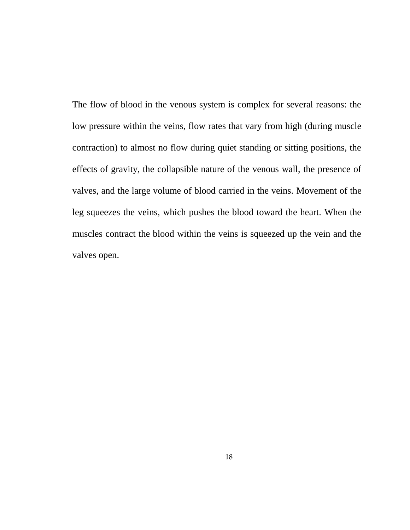The flow of blood in the venous system is complex for several reasons: the low pressure within the veins, flow rates that vary from high (during muscle contraction) to almost no flow during quiet standing or sitting positions, the effects of gravity, the collapsible nature of the venous wall, the presence of valves, and the large volume of blood carried in the veins. Movement of the leg squeezes the veins, which pushes the blood toward the heart. When the muscles contract the blood within the veins is squeezed up the vein and the valves open.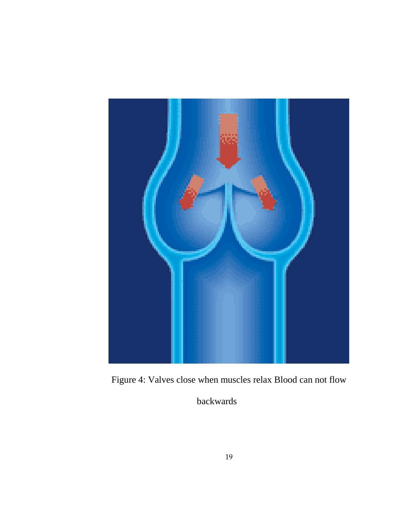

Figure 4: Valves close when muscles relax Blood can not flow

backwards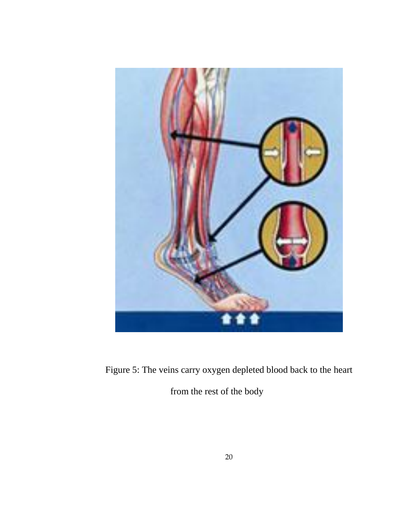

Figure 5: The veins carry oxygen depleted blood back to the heart

from the rest of the body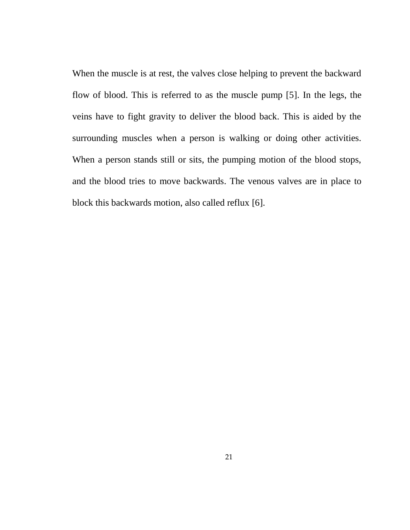When the muscle is at rest, the valves close helping to prevent the backward flow of blood. This is referred to as the muscle pump [5]. In the legs, the veins have to fight gravity to deliver the blood back. This is aided by the surrounding muscles when a person is walking or doing other activities. When a person stands still or sits, the pumping motion of the blood stops, and the blood tries to move backwards. The venous valves are in place to block this backwards motion, also called reflux [6].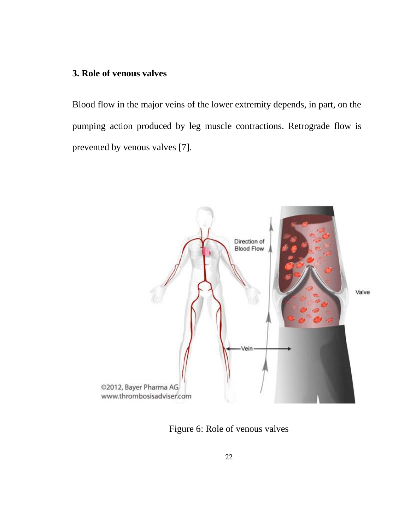# **3. Role of venous valves**

Blood flow in the major veins of the lower extremity depends, in part, on the pumping action produced by leg muscle contractions. Retrograde flow is prevented by venous valves [7].



Figure 6: Role of venous valves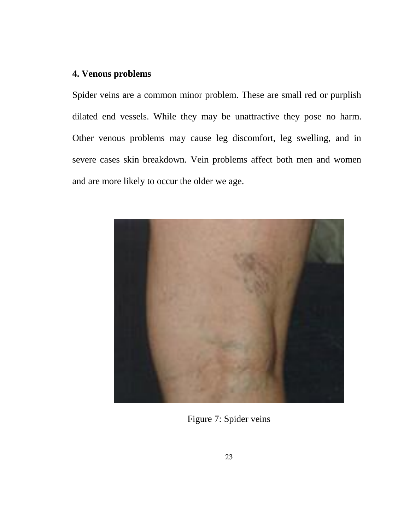# **4. Venous problems**

Spider veins are a common minor problem. These are small red or purplish dilated end vessels. While they may be unattractive they pose no harm. Other venous problems may cause leg discomfort, leg swelling, and in severe cases skin breakdown. Vein problems affect both men and women and are more likely to occur the older we age.



Figure 7: Spider veins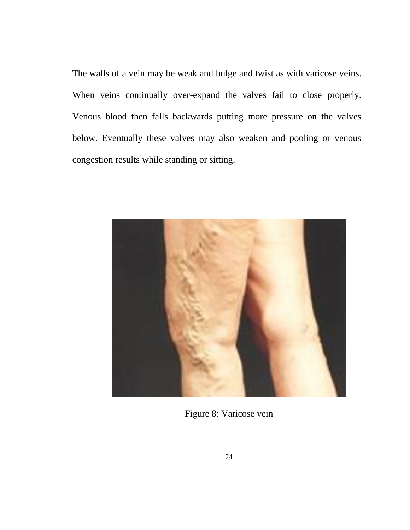The walls of a vein may be weak and bulge and twist as with varicose veins. When veins continually over-expand the valves fail to close properly. Venous blood then falls backwards putting more pressure on the valves below. Eventually these valves may also weaken and pooling or venous congestion results while standing or sitting.



Figure 8: Varicose vein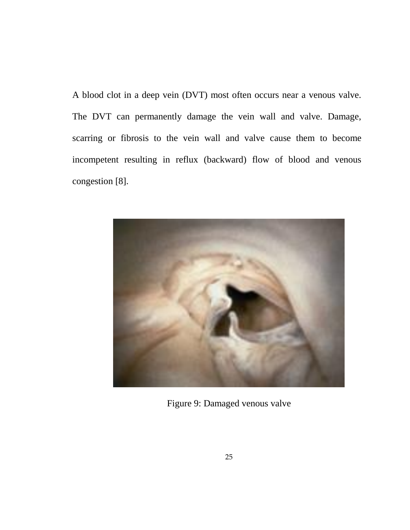A blood clot in a deep vein (DVT) most often occurs near a venous valve. The DVT can permanently damage the vein wall and valve. Damage, scarring or fibrosis to the vein wall and valve cause them to become incompetent resulting in reflux (backward) flow of blood and venous congestion [8].



Figure 9: Damaged venous valve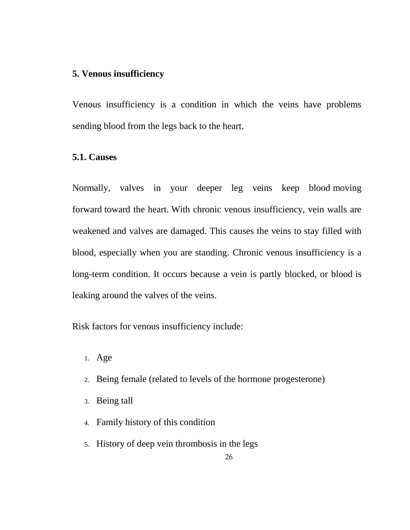## **5. Venous insufficiency**

Venous insufficiency is a condition in which the veins have problems sending blood from the legs back to the heart.

## **5.1. Causes**

Normally, valves in your deeper leg veins keep blood moving forward toward the heart. With chronic venous insufficiency, vein walls are weakened and valves are damaged. This causes the veins to stay filled with blood, especially when you are standing. Chronic venous insufficiency is a long-term condition. It occurs because a vein is partly blocked, or blood is leaking around the valves of the veins.

Risk factors for venous insufficiency include:

- 1. Age
- 2. Being female (related to levels of the hormone progesterone)
- 3. Being tall
- 4. Family history of this condition
- 5. History of deep vein thrombosis in the legs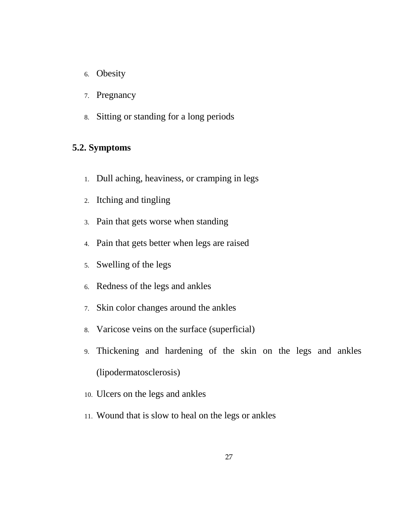- 6. Obesity
- 7. Pregnancy
- 8. Sitting or standing for a long periods

## **5.2. Symptoms**

- 1. Dull aching, heaviness, or cramping in legs
- 2. Itching and tingling
- 3. Pain that gets worse when standing
- 4. Pain that gets better when legs are raised
- 5. Swelling of the legs
- 6. Redness of the legs and ankles
- 7. Skin color changes around the ankles
- 8. Varicose veins on the surface (superficial)
- 9. Thickening and hardening of the skin on the legs and ankles (lipodermatosclerosis)
- 10. Ulcers on the legs and ankles
- 11. Wound that is slow to heal on the legs or ankles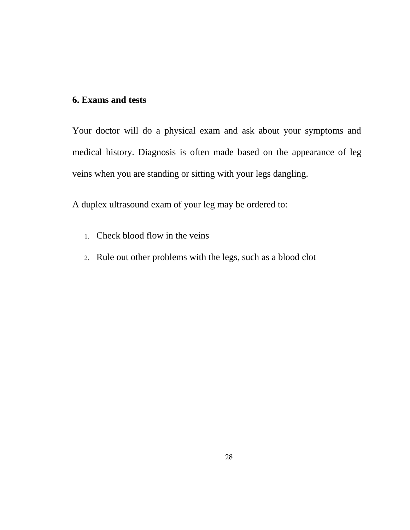# **6. Exams and tests**

Your doctor will do a physical exam and ask about your symptoms and medical history. Diagnosis is often made based on the appearance of leg veins when you are standing or sitting with your legs dangling.

A duplex ultrasound exam of your leg may be ordered to:

- 1. Check blood flow in the veins
- 2. Rule out other problems with the legs, such as a blood clot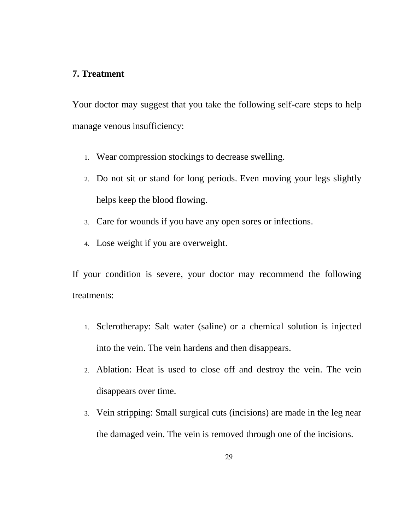## **7. Treatment**

Your doctor may suggest that you take the following self-care steps to help manage venous insufficiency:

- 1. Wear compression stockings to decrease swelling.
- 2. Do not sit or stand for long periods. Even moving your legs slightly helps keep the blood flowing.
- 3. Care for wounds if you have any open sores or infections.
- 4. Lose weight if you are overweight.

If your condition is severe, your doctor may recommend the following treatments:

- 1. Sclerotherapy: Salt water (saline) or a chemical solution is injected into the vein. The vein hardens and then disappears.
- 2. Ablation: Heat is used to close off and destroy the vein. The vein disappears over time.
- 3. Vein stripping: Small surgical cuts (incisions) are made in the leg near the damaged vein. The vein is removed through one of the incisions.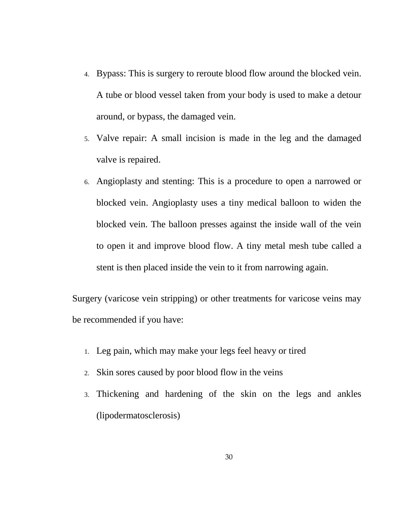- 4. Bypass: This is surgery to reroute blood flow around the blocked vein. A tube or blood vessel taken from your body is used to make a detour around, or bypass, the damaged vein.
- 5. Valve repair: A small incision is made in the leg and the damaged valve is repaired.
- 6. Angioplasty and stenting: This is a procedure to open a narrowed or blocked vein. Angioplasty uses a tiny medical balloon to widen the blocked vein. The balloon presses against the inside wall of the vein to open it and improve blood flow. A tiny metal mesh tube called a stent is then placed inside the vein to it from narrowing again.

Surgery (varicose vein stripping) or other treatments for varicose veins may be recommended if you have:

- 1. Leg pain, which may make your legs feel heavy or tired
- 2. Skin sores caused by poor blood flow in the veins
- 3. Thickening and hardening of the skin on the legs and ankles (lipodermatosclerosis)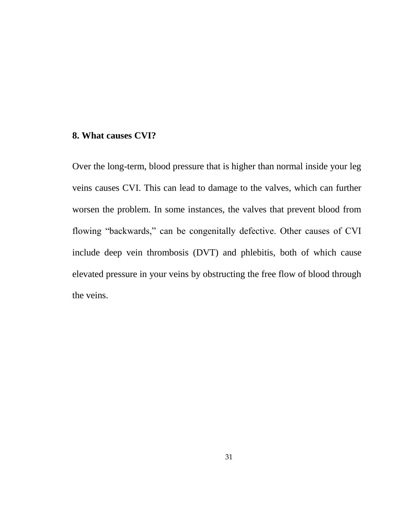## **8. What causes CVI?**

Over the long-term, blood pressure that is higher than normal inside your leg veins causes CVI. This can lead to damage to the valves, which can further worsen the problem. In some instances, the valves that prevent blood from flowing "backwards," can be congenitally defective. Other causes of CVI include deep vein thrombosis (DVT) and phlebitis, both of which cause elevated pressure in your veins by obstructing the free flow of blood through the veins.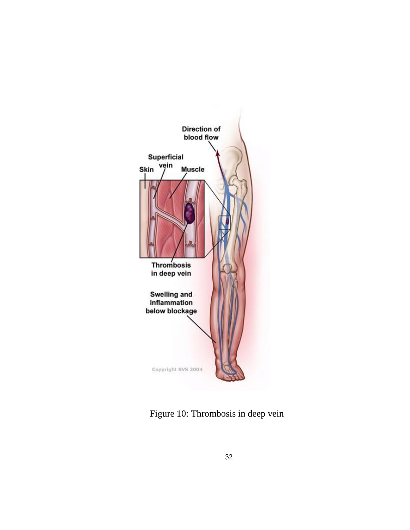

Figure 10: Thrombosis in deep vein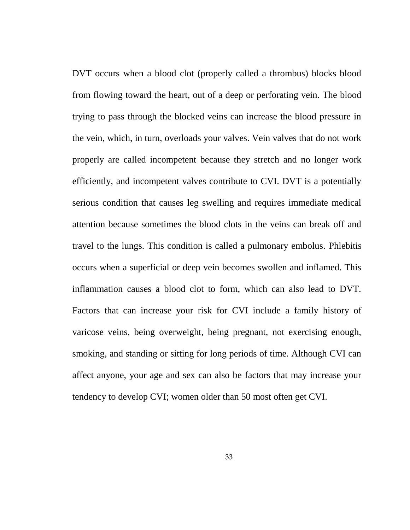DVT occurs when a blood clot (properly called a thrombus) blocks blood from flowing toward the heart, out of a deep or perforating vein. The blood trying to pass through the blocked veins can increase the blood pressure in the vein, which, in turn, overloads your valves. Vein valves that do not work properly are called incompetent because they stretch and no longer work efficiently, and incompetent valves contribute to CVI. DVT is a potentially serious condition that causes leg swelling and requires immediate medical attention because sometimes the blood clots in the veins can break off and travel to the lungs. This condition is called a pulmonary embolus. Phlebitis occurs when a superficial or deep vein becomes swollen and inflamed. This inflammation causes a blood clot to form, which can also lead to DVT. Factors that can increase your risk for CVI include a family history of varicose veins, being overweight, being pregnant, not exercising enough, smoking, and standing or sitting for long periods of time. Although CVI can affect anyone, your age and sex can also be factors that may increase your tendency to develop CVI; women older than 50 most often get CVI.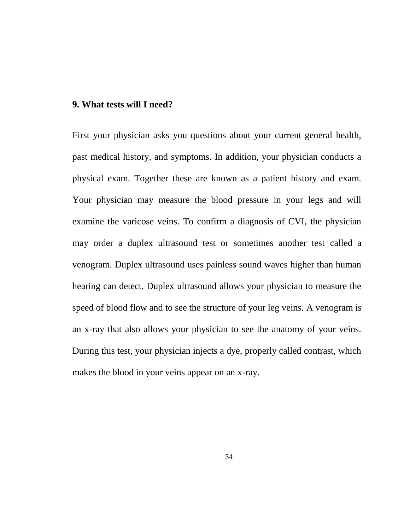## **9. What tests will I need?**

First your physician asks you questions about your current general health, past medical history, and symptoms. In addition, your physician conducts a physical exam. Together these are known as a patient history and exam. Your physician may measure the blood pressure in your legs and will examine the varicose veins. To confirm a diagnosis of CVI, the physician may order a duplex ultrasound test or sometimes another test called a venogram. Duplex ultrasound uses painless sound waves higher than human hearing can detect. Duplex ultrasound allows your physician to measure the speed of blood flow and to see the structure of your leg veins. A venogram is an x-ray that also allows your physician to see the anatomy of your veins. During this test, your physician injects a dye, properly called contrast, which makes the blood in your veins appear on an x-ray.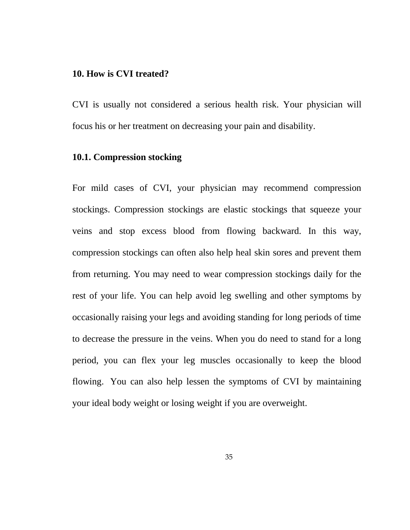#### **10. How is CVI treated?**

CVI is usually not considered a serious health risk. Your physician will focus his or her treatment on decreasing your pain and disability.

## **10.1. Compression stocking**

For mild cases of CVI, your physician may recommend compression stockings. Compression stockings are elastic stockings that squeeze your veins and stop excess blood from flowing backward. In this way, compression stockings can often also help heal skin sores and prevent them from returning. You may need to wear compression stockings daily for the rest of your life. You can help avoid leg swelling and other symptoms by occasionally raising your legs and avoiding standing for long periods of time to decrease the pressure in the veins. When you do need to stand for a long period, you can flex your leg muscles occasionally to keep the blood flowing. You can also help lessen the symptoms of CVI by maintaining your ideal body weight or losing weight if you are overweight.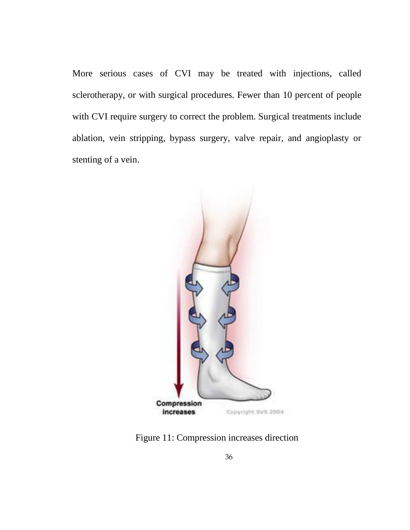More serious cases of CVI may be treated with injections, called sclerotherapy, or with surgical procedures. Fewer than 10 percent of people with CVI require surgery to correct the problem. Surgical treatments include ablation, vein stripping, bypass surgery, valve repair, and angioplasty or stenting of a vein.



Figure 11: Compression increases direction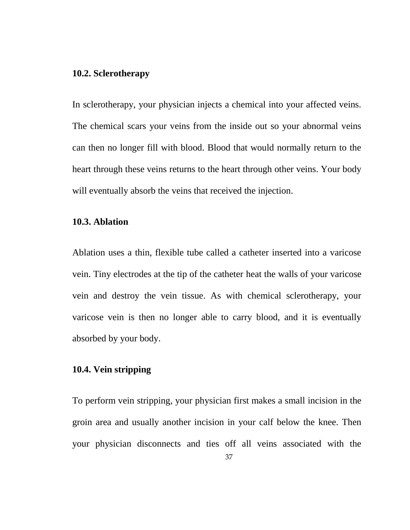## **10.2. Sclerotherapy**

In sclerotherapy, your physician injects a chemical into your affected veins. The chemical scars your veins from the inside out so your abnormal veins can then no longer fill with blood. Blood that would normally return to the heart through these veins returns to the heart through other veins. Your body will eventually absorb the veins that received the injection.

## **10.3. Ablation**

Ablation uses a thin, flexible tube called a catheter inserted into a varicose vein. Tiny electrodes at the tip of the catheter heat the walls of your varicose vein and destroy the vein tissue. As with chemical sclerotherapy, your varicose vein is then no longer able to carry blood, and it is eventually absorbed by your body.

#### **10.4. Vein stripping**

To perform vein stripping, your physician first makes a small incision in the groin area and usually another incision in your calf below the knee. Then your physician disconnects and ties off all veins associated with the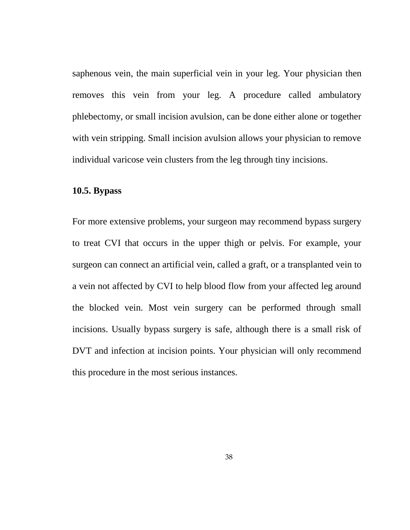saphenous vein, the main superficial vein in your leg. Your physician then removes this vein from your leg. A procedure called ambulatory phlebectomy, or small incision avulsion, can be done either alone or together with vein stripping. Small incision avulsion allows your physician to remove individual varicose vein clusters from the leg through tiny incisions.

## **10.5. Bypass**

For more extensive problems, your surgeon may recommend bypass surgery to treat CVI that occurs in the upper thigh or pelvis. For example, your surgeon can connect an artificial vein, called a graft, or a transplanted vein to a vein not affected by CVI to help blood flow from your affected leg around the blocked vein. Most vein surgery can be performed through small incisions. Usually bypass surgery is safe, although there is a small risk of DVT and infection at incision points. Your physician will only recommend this procedure in the most serious instances.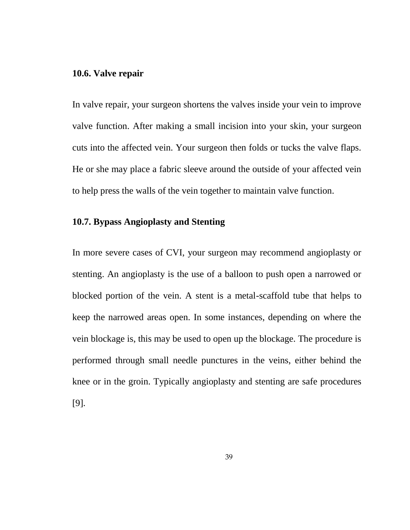## **10.6. Valve repair**

In valve repair, your surgeon shortens the valves inside your vein to improve valve function. After making a small incision into your skin, your surgeon cuts into the affected vein. Your surgeon then folds or tucks the valve flaps. He or she may place a fabric sleeve around the outside of your affected vein to help press the walls of the vein together to maintain valve function.

## **10.7. Bypass Angioplasty and Stenting**

In more severe cases of CVI, your surgeon may recommend angioplasty or stenting. An angioplasty is the use of a balloon to push open a narrowed or blocked portion of the vein. A stent is a metal-scaffold tube that helps to keep the narrowed areas open. In some instances, depending on where the vein blockage is, this may be used to open up the blockage. The procedure is performed through small needle punctures in the veins, either behind the knee or in the groin. Typically angioplasty and stenting are safe procedures [9].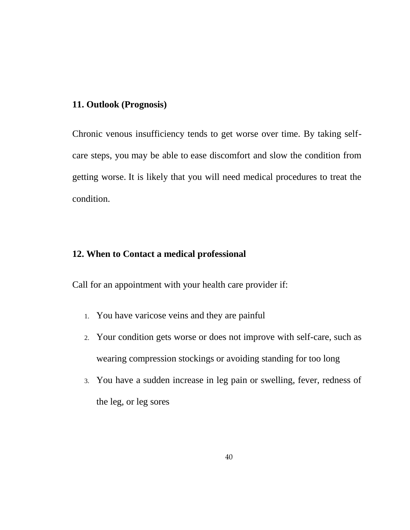# **11. Outlook (Prognosis)**

Chronic venous insufficiency tends to get worse over time. By taking selfcare steps, you may be able to ease discomfort and slow the condition from getting worse. It is likely that you will need medical procedures to treat the condition.

## **12. When to Contact a medical professional**

Call for an appointment with your health care provider if:

- 1. You have varicose veins and they are painful
- 2. Your condition gets worse or does not improve with self-care, such as wearing compression stockings or avoiding standing for too long
- 3. You have a sudden increase in leg pain or swelling, fever, redness of the leg, or leg sores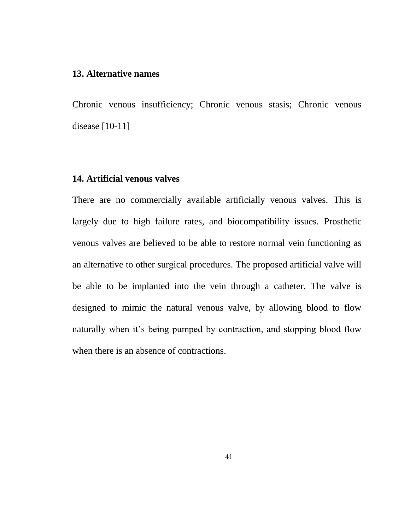#### **13. Alternative names**

Chronic venous insufficiency; Chronic venous stasis; Chronic venous disease [10-11]

## **14. Artificial venous valves**

There are no commercially available artificially venous valves. This is largely due to high failure rates, and biocompatibility issues. Prosthetic venous valves are believed to be able to restore normal vein functioning as an alternative to other surgical procedures. The proposed artificial valve will be able to be implanted into the vein through a catheter. The valve is designed to mimic the natural venous valve, by allowing blood to flow naturally when it's being pumped by contraction, and stopping blood flow when there is an absence of contractions.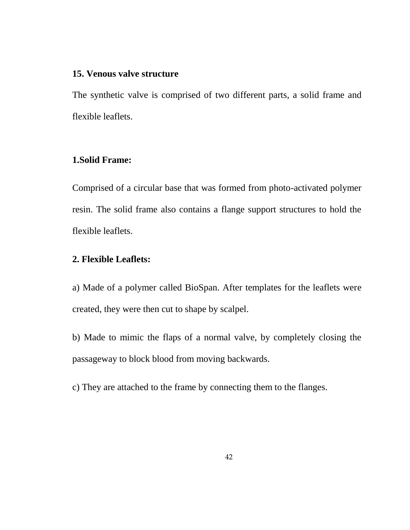## **15. Venous valve structure**

The synthetic valve is comprised of two different parts, a solid frame and flexible leaflets.

# **1.Solid Frame:**

Comprised of a circular base that was formed from photo-activated polymer resin. The solid frame also contains a flange support structures to hold the flexible leaflets.

## **2. Flexible Leaflets:**

a) Made of a polymer called BioSpan. After templates for the leaflets were created, they were then cut to shape by scalpel.

b) Made to mimic the flaps of a normal valve, by completely closing the passageway to block blood from moving backwards.

c) They are attached to the frame by connecting them to the flanges.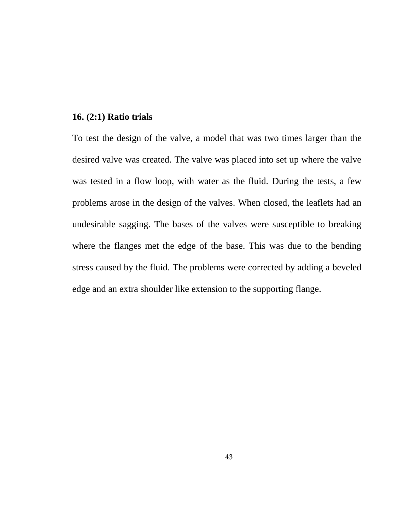## **16. (2:1) Ratio trials**

To test the design of the valve, a model that was two times larger than the desired valve was created. The valve was placed into set up where the valve was tested in a flow loop, with water as the fluid. During the tests, a few problems arose in the design of the valves. When closed, the leaflets had an undesirable sagging. The bases of the valves were susceptible to breaking where the flanges met the edge of the base. This was due to the bending stress caused by the fluid. The problems were corrected by adding a beveled edge and an extra shoulder like extension to the supporting flange.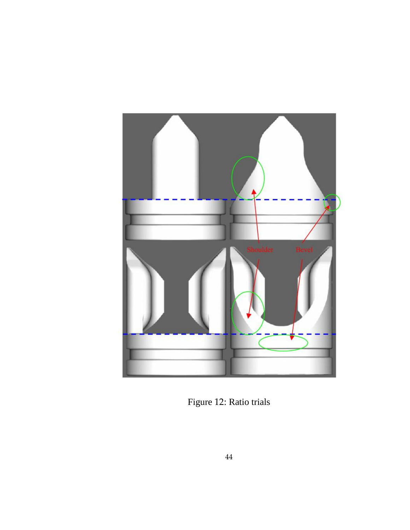

Figure 12: Ratio trials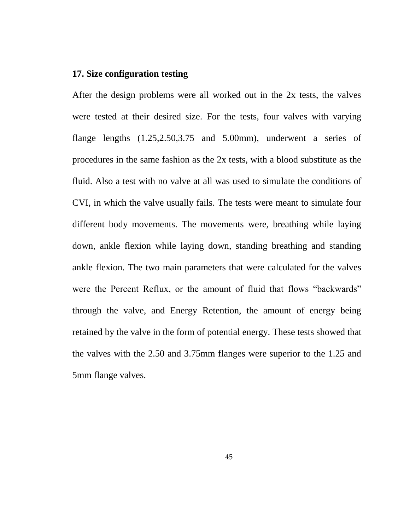## **17. Size configuration testing**

After the design problems were all worked out in the 2x tests, the valves were tested at their desired size. For the tests, four valves with varying flange lengths (1.25,2.50,3.75 and 5.00mm), underwent a series of procedures in the same fashion as the 2x tests, with a blood substitute as the fluid. Also a test with no valve at all was used to simulate the conditions of CVI, in which the valve usually fails. The tests were meant to simulate four different body movements. The movements were, breathing while laying down, ankle flexion while laying down, standing breathing and standing ankle flexion. The two main parameters that were calculated for the valves were the Percent Reflux, or the amount of fluid that flows "backwards" through the valve, and Energy Retention, the amount of energy being retained by the valve in the form of potential energy. These tests showed that the valves with the 2.50 and 3.75mm flanges were superior to the 1.25 and 5mm flange valves.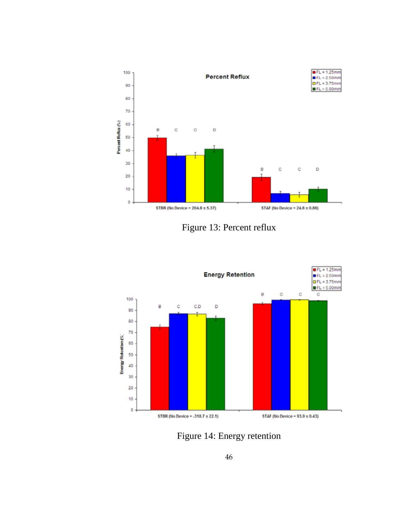

Figure 13: Percent reflux



Figure 14: Energy retention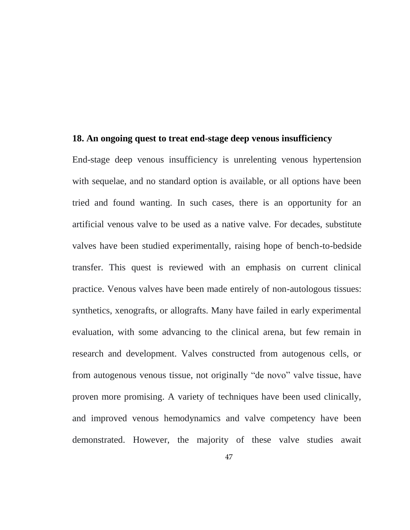#### **18. An ongoing quest to treat end-stage deep venous insufficiency**

End-stage deep venous insufficiency is unrelenting venous hypertension with sequelae, and no standard option is available, or all options have been tried and found wanting. In such cases, there is an opportunity for an artificial venous valve to be used as a native valve. For decades, substitute valves have been studied experimentally, raising hope of bench-to-bedside transfer. This quest is reviewed with an emphasis on current clinical practice. Venous valves have been made entirely of non-autologous tissues: synthetics, xenografts, or allografts. Many have failed in early experimental evaluation, with some advancing to the clinical arena, but few remain in research and development. Valves constructed from autogenous cells, or from autogenous venous tissue, not originally "de novo" valve tissue, have proven more promising. A variety of techniques have been used clinically, and improved venous hemodynamics and valve competency have been demonstrated. However, the majority of these valve studies await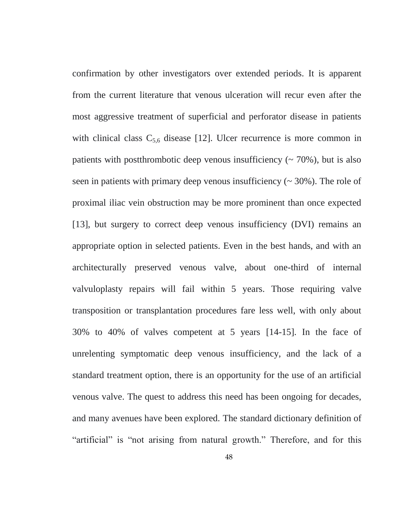confirmation by other investigators over extended periods. It is apparent from the current literature that venous ulceration will recur even after the most aggressive treatment of superficial and perforator disease in patients with clinical class  $C_{5,6}$  disease [12]. Ulcer recurrence is more common in patients with postthrombotic deep venous insufficiency  $($   $\sim$  70%), but is also seen in patients with primary deep venous insufficiency  $($   $\sim$  30%). The role of proximal iliac vein obstruction may be more prominent than once expected [13], but surgery to correct deep venous insufficiency (DVI) remains an appropriate option in selected patients. Even in the best hands, and with an architecturally preserved venous valve, about one-third of internal valvuloplasty repairs will fail within 5 years. Those requiring valve transposition or transplantation procedures fare less well, with only about 30% to 40% of valves competent at 5 years [14-15]. In the face of unrelenting symptomatic deep venous insufficiency, and the lack of a standard treatment option, there is an opportunity for the use of an artificial venous valve. The quest to address this need has been ongoing for decades, and many avenues have been explored. The standard dictionary definition of "artificial" is "not arising from natural growth." Therefore, and for this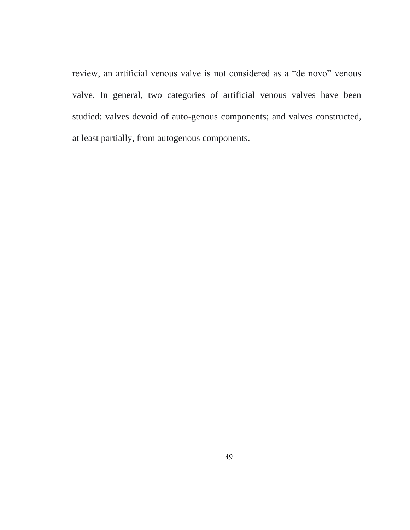review, an artificial venous valve is not considered as a "de novo" venous valve. In general, two categories of artificial venous valves have been studied: valves devoid of auto-genous components; and valves constructed, at least partially, from autogenous components.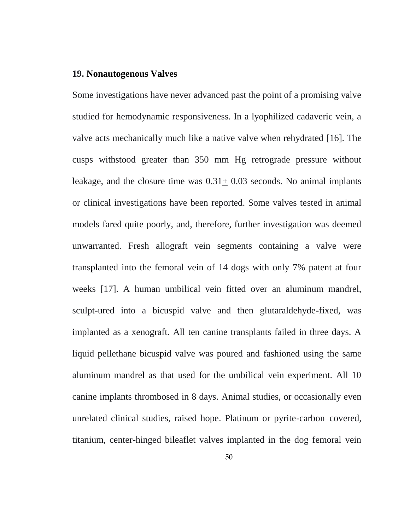#### **19. Nonautogenous Valves**

Some investigations have never advanced past the point of a promising valve studied for hemodynamic responsiveness. In a lyophilized cadaveric vein, a valve acts mechanically much like a native valve when rehydrated [16]. The cusps withstood greater than 350 mm Hg retrograde pressure without leakage, and the closure time was 0.31+ 0.03 seconds. No animal implants or clinical investigations have been reported. Some valves tested in animal models fared quite poorly, and, therefore, further investigation was deemed unwarranted. Fresh allograft vein segments containing a valve were transplanted into the femoral vein of 14 dogs with only 7% patent at four weeks [17]. A human umbilical vein fitted over an aluminum mandrel, sculpt-ured into a bicuspid valve and then glutaraldehyde-fixed, was implanted as a xenograft. All ten canine transplants failed in three days. A liquid pellethane bicuspid valve was poured and fashioned using the same aluminum mandrel as that used for the umbilical vein experiment. All 10 canine implants thrombosed in 8 days. Animal studies, or occasionally even unrelated clinical studies, raised hope. Platinum or pyrite-carbon–covered, titanium, center-hinged bileaflet valves implanted in the dog femoral vein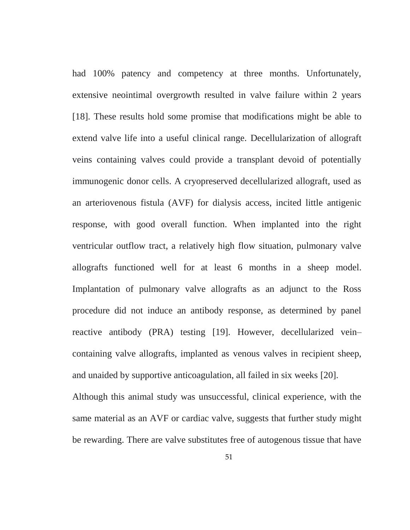had 100% patency and competency at three months. Unfortunately, extensive neointimal overgrowth resulted in valve failure within 2 years [18]. These results hold some promise that modifications might be able to extend valve life into a useful clinical range. Decellularization of allograft veins containing valves could provide a transplant devoid of potentially immunogenic donor cells. A cryopreserved decellularized allograft, used as an arteriovenous fistula (AVF) for dialysis access, incited little antigenic response, with good overall function. When implanted into the right ventricular outflow tract, a relatively high flow situation, pulmonary valve allografts functioned well for at least 6 months in a sheep model. Implantation of pulmonary valve allografts as an adjunct to the Ross procedure did not induce an antibody response, as determined by panel reactive antibody (PRA) testing [19]. However, decellularized vein– containing valve allografts, implanted as venous valves in recipient sheep, and unaided by supportive anticoagulation, all failed in six weeks [20].

Although this animal study was unsuccessful, clinical experience, with the same material as an AVF or cardiac valve, suggests that further study might be rewarding. There are valve substitutes free of autogenous tissue that have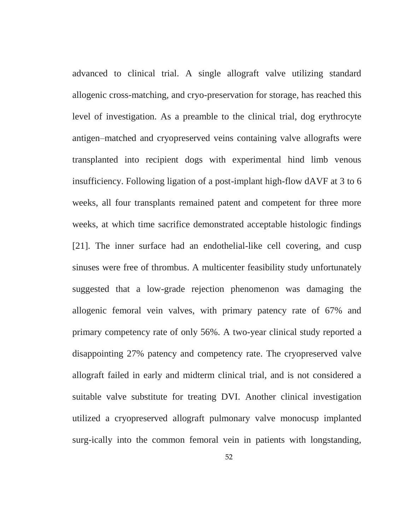advanced to clinical trial. A single allograft valve utilizing standard allogenic cross-matching, and cryo-preservation for storage, has reached this level of investigation. As a preamble to the clinical trial, dog erythrocyte antigen–matched and cryopreserved veins containing valve allografts were transplanted into recipient dogs with experimental hind limb venous insufficiency. Following ligation of a post-implant high-flow dAVF at 3 to 6 weeks, all four transplants remained patent and competent for three more weeks, at which time sacrifice demonstrated acceptable histologic findings [21]. The inner surface had an endothelial-like cell covering, and cusp sinuses were free of thrombus. A multicenter feasibility study unfortunately suggested that a low-grade rejection phenomenon was damaging the allogenic femoral vein valves, with primary patency rate of 67% and primary competency rate of only 56%. A two-year clinical study reported a disappointing 27% patency and competency rate. The cryopreserved valve allograft failed in early and midterm clinical trial, and is not considered a suitable valve substitute for treating DVI. Another clinical investigation utilized a cryopreserved allograft pulmonary valve monocusp implanted surg-ically into the common femoral vein in patients with longstanding,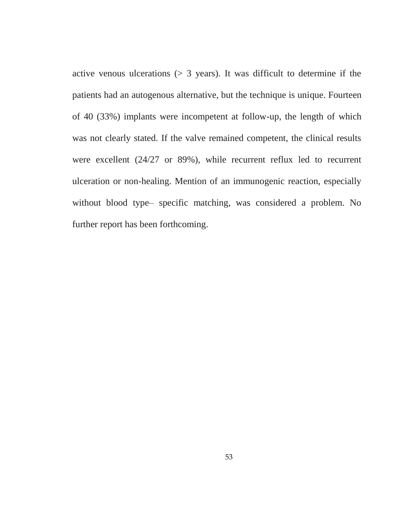active venous ulcerations  $(> 3$  years). It was difficult to determine if the patients had an autogenous alternative, but the technique is unique. Fourteen of 40 (33%) implants were incompetent at follow-up, the length of which was not clearly stated. If the valve remained competent, the clinical results were excellent (24/27 or 89%), while recurrent reflux led to recurrent ulceration or non-healing. Mention of an immunogenic reaction, especially without blood type– specific matching, was considered a problem. No further report has been forthcoming.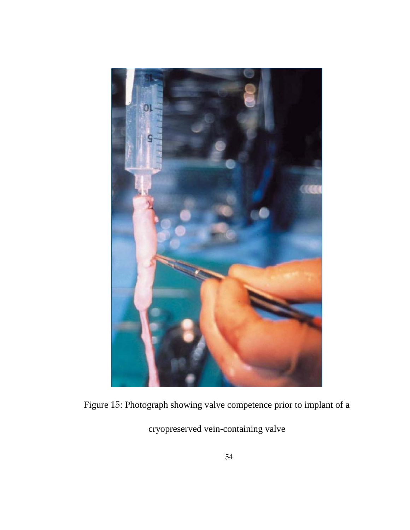

Figure 15: Photograph showing valve competence prior to implant of a

cryopreserved vein-containing valve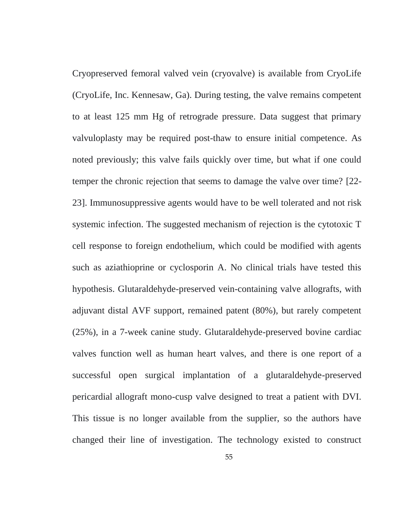Cryopreserved femoral valved vein (cryovalve) is available from CryoLife (CryoLife, Inc. Kennesaw, Ga). During testing, the valve remains competent to at least 125 mm Hg of retrograde pressure. Data suggest that primary valvuloplasty may be required post-thaw to ensure initial competence. As noted previously; this valve fails quickly over time, but what if one could temper the chronic rejection that seems to damage the valve over time? [22- 23]. Immunosuppressive agents would have to be well tolerated and not risk systemic infection. The suggested mechanism of rejection is the cytotoxic T cell response to foreign endothelium, which could be modified with agents such as aziathioprine or cyclosporin A. No clinical trials have tested this hypothesis. Glutaraldehyde-preserved vein-containing valve allografts, with adjuvant distal AVF support, remained patent (80%), but rarely competent (25%), in a 7-week canine study. Glutaraldehyde-preserved bovine cardiac valves function well as human heart valves, and there is one report of a successful open surgical implantation of a glutaraldehyde-preserved pericardial allograft mono-cusp valve designed to treat a patient with DVI. This tissue is no longer available from the supplier, so the authors have changed their line of investigation. The technology existed to construct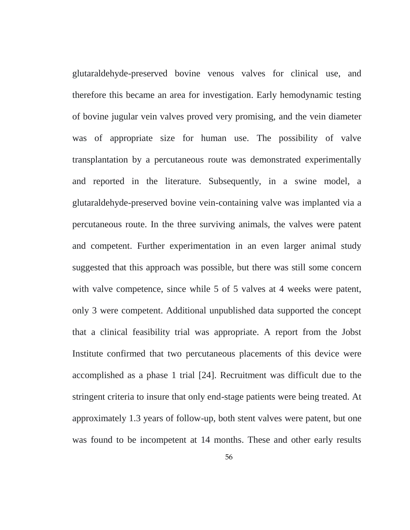glutaraldehyde-preserved bovine venous valves for clinical use, and therefore this became an area for investigation. Early hemodynamic testing of bovine jugular vein valves proved very promising, and the vein diameter was of appropriate size for human use. The possibility of valve transplantation by a percutaneous route was demonstrated experimentally and reported in the literature. Subsequently, in a swine model, a glutaraldehyde-preserved bovine vein-containing valve was implanted via a percutaneous route. In the three surviving animals, the valves were patent and competent. Further experimentation in an even larger animal study suggested that this approach was possible, but there was still some concern with valve competence, since while 5 of 5 valves at 4 weeks were patent, only 3 were competent. Additional unpublished data supported the concept that a clinical feasibility trial was appropriate. A report from the Jobst Institute confirmed that two percutaneous placements of this device were accomplished as a phase 1 trial [24]. Recruitment was difficult due to the stringent criteria to insure that only end-stage patients were being treated. At approximately 1.3 years of follow-up, both stent valves were patent, but one was found to be incompetent at 14 months. These and other early results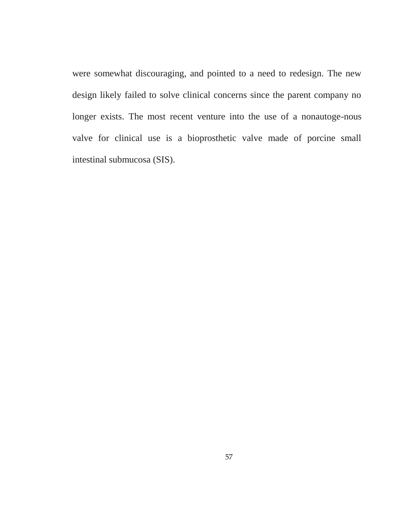were somewhat discouraging, and pointed to a need to redesign. The new design likely failed to solve clinical concerns since the parent company no longer exists. The most recent venture into the use of a nonautoge-nous valve for clinical use is a bioprosthetic valve made of porcine small intestinal submucosa (SIS).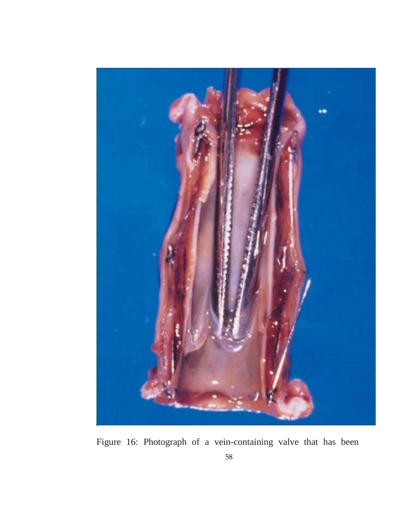

Figure 16: Photograph of a vein-containing valve that has been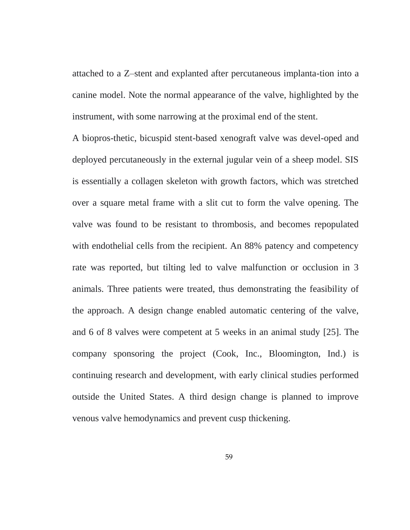attached to a Z–stent and explanted after percutaneous implanta-tion into a canine model. Note the normal appearance of the valve, highlighted by the instrument, with some narrowing at the proximal end of the stent.

A biopros-thetic, bicuspid stent-based xenograft valve was devel-oped and deployed percutaneously in the external jugular vein of a sheep model. SIS is essentially a collagen skeleton with growth factors, which was stretched over a square metal frame with a slit cut to form the valve opening. The valve was found to be resistant to thrombosis, and becomes repopulated with endothelial cells from the recipient. An 88% patency and competency rate was reported, but tilting led to valve malfunction or occlusion in 3 animals. Three patients were treated, thus demonstrating the feasibility of the approach. A design change enabled automatic centering of the valve, and 6 of 8 valves were competent at 5 weeks in an animal study [25]. The company sponsoring the project (Cook, Inc., Bloomington, Ind.) is continuing research and development, with early clinical studies performed outside the United States. A third design change is planned to improve venous valve hemodynamics and prevent cusp thickening.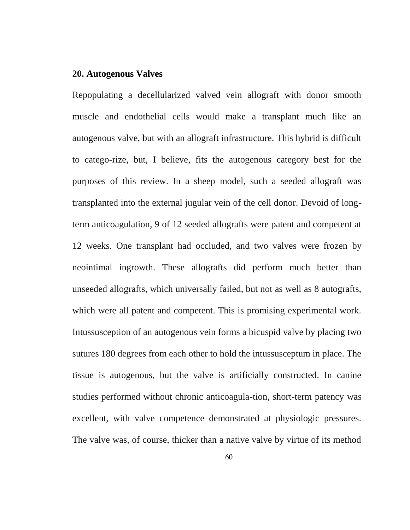## **20. Autogenous Valves**

Repopulating a decellularized valved vein allograft with donor smooth muscle and endothelial cells would make a transplant much like an autogenous valve, but with an allograft infrastructure. This hybrid is difficult to catego-rize, but, I believe, fits the autogenous category best for the purposes of this review. In a sheep model, such a seeded allograft was transplanted into the external jugular vein of the cell donor. Devoid of longterm anticoagulation, 9 of 12 seeded allografts were patent and competent at 12 weeks. One transplant had occluded, and two valves were frozen by neointimal ingrowth. These allografts did perform much better than unseeded allografts, which universally failed, but not as well as 8 autografts, which were all patent and competent. This is promising experimental work. Intussusception of an autogenous vein forms a bicuspid valve by placing two sutures 180 degrees from each other to hold the intussusceptum in place. The tissue is autogenous, but the valve is artificially constructed. In canine studies performed without chronic anticoagula-tion, short-term patency was excellent, with valve competence demonstrated at physiologic pressures. The valve was, of course, thicker than a native valve by virtue of its method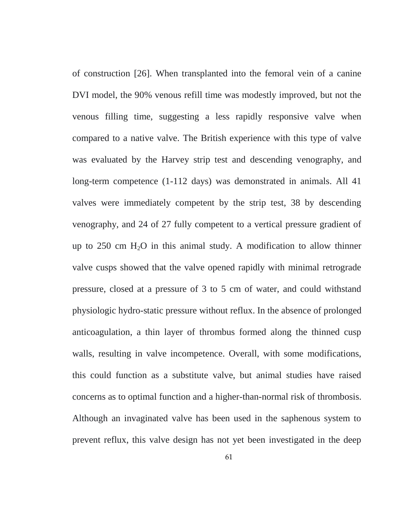of construction [26]. When transplanted into the femoral vein of a canine DVI model, the 90% venous refill time was modestly improved, but not the venous filling time, suggesting a less rapidly responsive valve when compared to a native valve. The British experience with this type of valve was evaluated by the Harvey strip test and descending venography, and long-term competence (1-112 days) was demonstrated in animals. All 41 valves were immediately competent by the strip test, 38 by descending venography, and 24 of 27 fully competent to a vertical pressure gradient of up to 250 cm  $H_2O$  in this animal study. A modification to allow thinner valve cusps showed that the valve opened rapidly with minimal retrograde pressure, closed at a pressure of 3 to 5 cm of water, and could withstand physiologic hydro-static pressure without reflux. In the absence of prolonged anticoagulation, a thin layer of thrombus formed along the thinned cusp walls, resulting in valve incompetence. Overall, with some modifications, this could function as a substitute valve, but animal studies have raised concerns as to optimal function and a higher-than-normal risk of thrombosis. Although an invaginated valve has been used in the saphenous system to prevent reflux, this valve design has not yet been investigated in the deep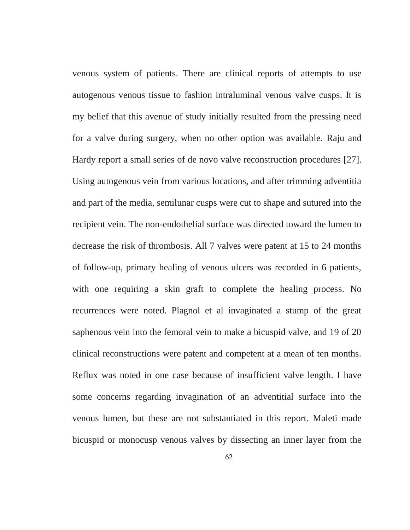venous system of patients. There are clinical reports of attempts to use autogenous venous tissue to fashion intraluminal venous valve cusps. It is my belief that this avenue of study initially resulted from the pressing need for a valve during surgery, when no other option was available. Raju and Hardy report a small series of de novo valve reconstruction procedures [27]. Using autogenous vein from various locations, and after trimming adventitia and part of the media, semilunar cusps were cut to shape and sutured into the recipient vein. The non-endothelial surface was directed toward the lumen to decrease the risk of thrombosis. All 7 valves were patent at 15 to 24 months of follow-up, primary healing of venous ulcers was recorded in 6 patients, with one requiring a skin graft to complete the healing process. No recurrences were noted. Plagnol et al invaginated a stump of the great saphenous vein into the femoral vein to make a bicuspid valve, and 19 of 20 clinical reconstructions were patent and competent at a mean of ten months. Reflux was noted in one case because of insufficient valve length. I have some concerns regarding invagination of an adventitial surface into the venous lumen, but these are not substantiated in this report. Maleti made bicuspid or monocusp venous valves by dissecting an inner layer from the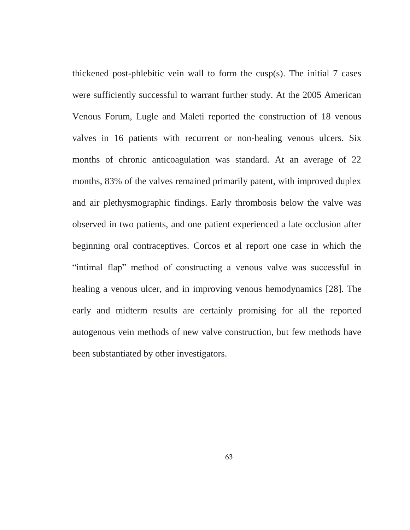thickened post-phlebitic vein wall to form the cusp(s). The initial 7 cases were sufficiently successful to warrant further study. At the 2005 American Venous Forum, Lugle and Maleti reported the construction of 18 venous valves in 16 patients with recurrent or non-healing venous ulcers. Six months of chronic anticoagulation was standard. At an average of 22 months, 83% of the valves remained primarily patent, with improved duplex and air plethysmographic findings. Early thrombosis below the valve was observed in two patients, and one patient experienced a late occlusion after beginning oral contraceptives. Corcos et al report one case in which the "intimal flap" method of constructing a venous valve was successful in healing a venous ulcer, and in improving venous hemodynamics [28]. The early and midterm results are certainly promising for all the reported autogenous vein methods of new valve construction, but few methods have been substantiated by other investigators.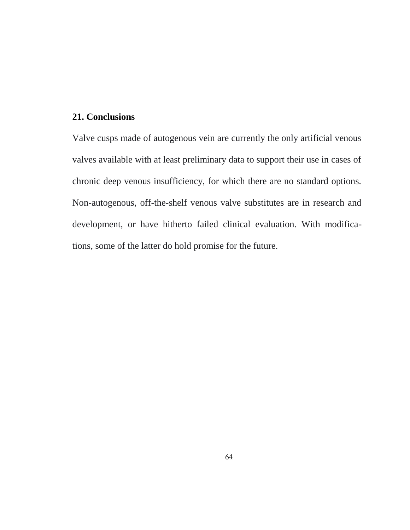# **21. Conclusions**

Valve cusps made of autogenous vein are currently the only artificial venous valves available with at least preliminary data to support their use in cases of chronic deep venous insufficiency, for which there are no standard options. Non-autogenous, off-the-shelf venous valve substitutes are in research and development, or have hitherto failed clinical evaluation. With modifications, some of the latter do hold promise for the future.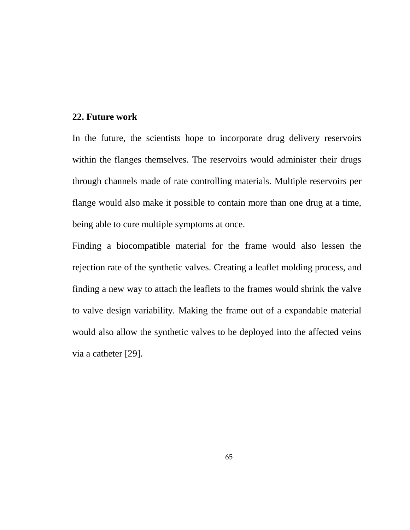## **22. Future work**

In the future, the scientists hope to incorporate drug delivery reservoirs within the flanges themselves. The reservoirs would administer their drugs through channels made of rate controlling materials. Multiple reservoirs per flange would also make it possible to contain more than one drug at a time, being able to cure multiple symptoms at once.

Finding a biocompatible material for the frame would also lessen the rejection rate of the synthetic valves. Creating a leaflet molding process, and finding a new way to attach the leaflets to the frames would shrink the valve to valve design variability. Making the frame out of a expandable material would also allow the synthetic valves to be deployed into the affected veins via a catheter [29].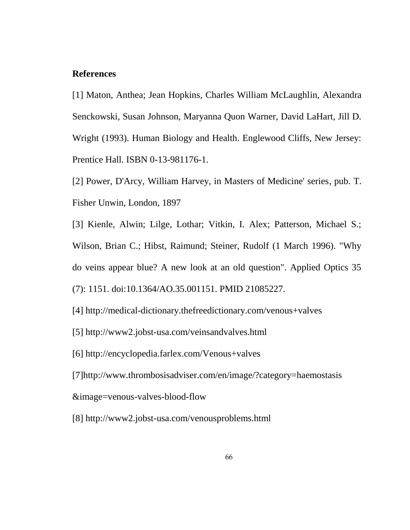## **References**

[1] Maton, Anthea; Jean Hopkins, Charles William McLaughlin, Alexandra Senckowski, Susan Johnson, Maryanna Quon Warner, David LaHart, Jill D. Wright (1993). Human Biology and Health. Englewood Cliffs, New Jersey: Prentice Hall. ISBN 0-13-981176-1.

[2] Power, D'Arcy, William Harvey, in Masters of Medicine' series, pub. T. Fisher Unwin, London, 1897

[3] Kienle, Alwin; Lilge, Lothar; Vitkin, I. Alex; Patterson, Michael S.; Wilson, Brian C.; Hibst, Raimund; Steiner, Rudolf (1 March 1996). "Why do veins appear blue? A new look at an old question". Applied Optics 35 (7): 1151. doi:10.1364/AO.35.001151. PMID 21085227.

[4] http://medical-dictionary.thefreedictionary.com/venous+valves

[5] http://www2.jobst-usa.com/veinsandvalves.html

[6] http://encyclopedia.farlex.com/Venous+valves

[7]http://www.thrombosisadviser.com/en/image/?category=haemostasis

&image=venous-valves-blood-flow

[8] http://www2.jobst-usa.com/venousproblems.html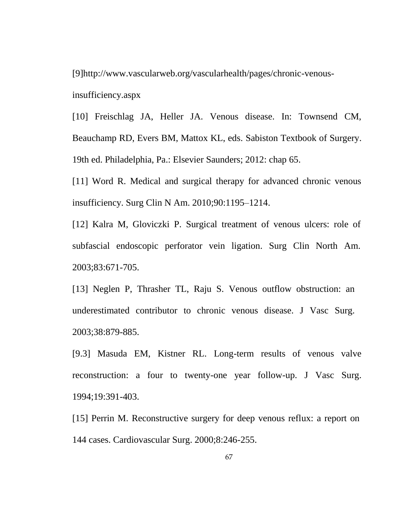[9]http://www.vascularweb.org/vascularhealth/pages/chronic-venousinsufficiency.aspx

[10] Freischlag JA, Heller JA. Venous disease. In: Townsend CM, Beauchamp RD, Evers BM, Mattox KL, eds. Sabiston Textbook of Surgery. 19th ed. Philadelphia, Pa.: Elsevier Saunders; 2012: chap 65.

[11] Word R. Medical and surgical therapy for advanced chronic venous insufficiency. Surg Clin N Am. 2010;90:1195–1214.

[12] Kalra M, Gloviczki P. Surgical treatment of venous ulcers: role of subfascial endoscopic perforator vein ligation. Surg Clin North Am. 2003;83:671-705.

[13] Neglen P, Thrasher TL, Raju S. Venous outflow obstruction: an underestimated contributor to chronic venous disease. J Vasc Surg. 2003;38:879-885.

[9.3] Masuda EM, Kistner RL. Long-term results of venous valve reconstruction: a four to twenty-one year follow-up. J Vasc Surg. 1994;19:391-403.

[15] Perrin M. Reconstructive surgery for deep venous reflux: a report on 144 cases. Cardiovascular Surg. 2000;8:246-255.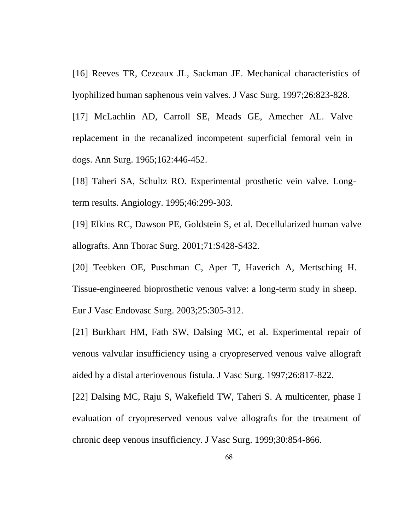[16] Reeves TR, Cezeaux JL, Sackman JE. Mechanical characteristics of lyophilized human saphenous vein valves. J Vasc Surg. 1997;26:823-828.

[17] McLachlin AD, Carroll SE, Meads GE, Amecher AL. Valve replacement in the recanalized incompetent superficial femoral vein in dogs. Ann Surg. 1965;162:446-452.

[18] Taheri SA, Schultz RO. Experimental prosthetic vein valve. Longterm results. Angiology. 1995;46:299-303.

[19] Elkins RC, Dawson PE, Goldstein S, et al. Decellularized human valve allografts. Ann Thorac Surg. 2001;71:S428-S432.

[20] Teebken OE, Puschman C, Aper T, Haverich A, Mertsching H. Tissue-engineered bioprosthetic venous valve: a long-term study in sheep. Eur J Vasc Endovasc Surg. 2003;25:305-312.

[21] Burkhart HM, Fath SW, Dalsing MC, et al. Experimental repair of venous valvular insufficiency using a cryopreserved venous valve allograft aided by a distal arteriovenous fistula. J Vasc Surg. 1997;26:817-822.

[22] Dalsing MC, Raju S, Wakefield TW, Taheri S. A multicenter, phase I evaluation of cryopreserved venous valve allografts for the treatment of chronic deep venous insufficiency. J Vasc Surg. 1999;30:854-866.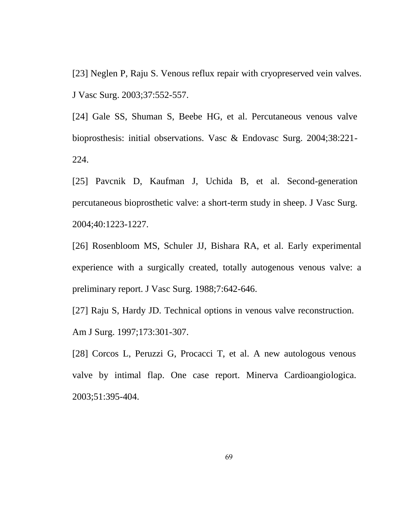[23] Neglen P, Raju S. Venous reflux repair with cryopreserved vein valves. J Vasc Surg. 2003;37:552-557.

[24] Gale SS, Shuman S, Beebe HG, et al. Percutaneous venous valve bioprosthesis: initial observations. Vasc & Endovasc Surg. 2004;38:221- 224.

[25] Pavcnik D, Kaufman J, Uchida B, et al. Second-generation percutaneous bioprosthetic valve: a short-term study in sheep. J Vasc Surg. 2004;40:1223-1227.

[26] Rosenbloom MS, Schuler JJ, Bishara RA, et al. Early experimental experience with a surgically created, totally autogenous venous valve: a preliminary report. J Vasc Surg. 1988;7:642-646.

[27] Raju S, Hardy JD. Technical options in venous valve reconstruction. Am J Surg. 1997;173:301-307.

[28] Corcos L, Peruzzi G, Procacci T, et al. A new autologous venous valve by intimal flap. One case report. Minerva Cardioangiologica. 2003;51:395-404.

69